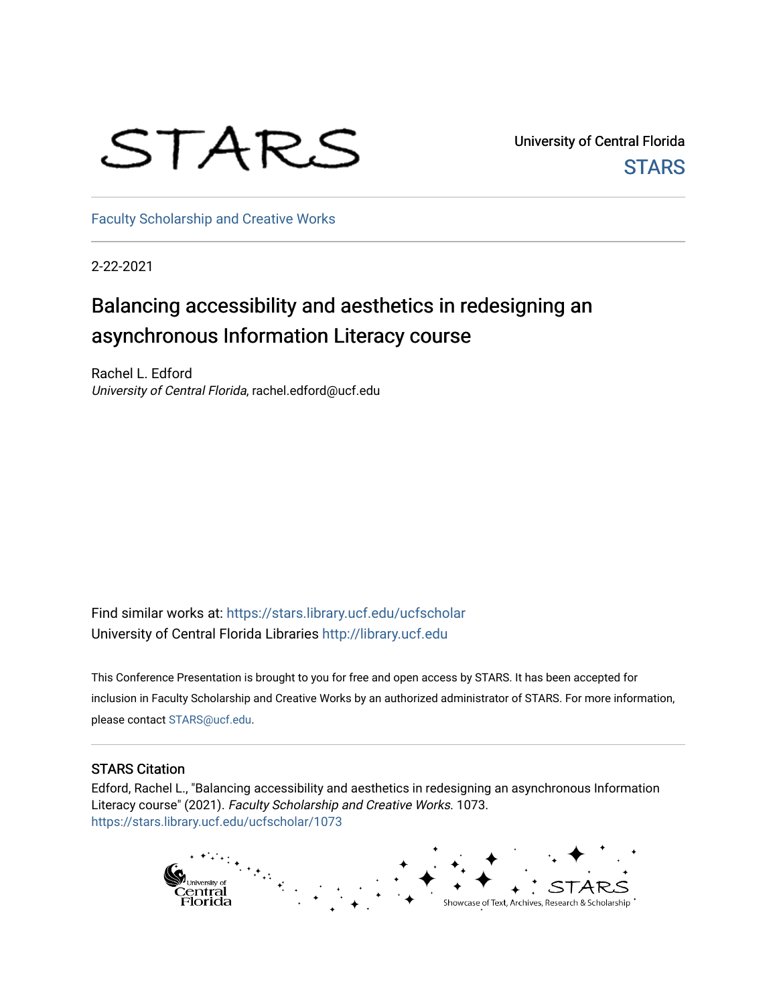## STARS

University of Central Florida **STARS** 

[Faculty Scholarship and Creative Works](https://stars.library.ucf.edu/ucfscholar) 

2-22-2021

#### Balancing accessibility and aesthetics in redesigning an asynchronous Information Literacy course

Rachel L. Edford University of Central Florida, rachel.edford@ucf.edu

Find similar works at: <https://stars.library.ucf.edu/ucfscholar> University of Central Florida Libraries [http://library.ucf.edu](http://library.ucf.edu/) 

This Conference Presentation is brought to you for free and open access by STARS. It has been accepted for inclusion in Faculty Scholarship and Creative Works by an authorized administrator of STARS. For more information, please contact [STARS@ucf.edu](mailto:STARS@ucf.edu).

#### STARS Citation

Edford, Rachel L., "Balancing accessibility and aesthetics in redesigning an asynchronous Information Literacy course" (2021). Faculty Scholarship and Creative Works. 1073. [https://stars.library.ucf.edu/ucfscholar/1073](https://stars.library.ucf.edu/ucfscholar/1073?utm_source=stars.library.ucf.edu%2Fucfscholar%2F1073&utm_medium=PDF&utm_campaign=PDFCoverPages) 

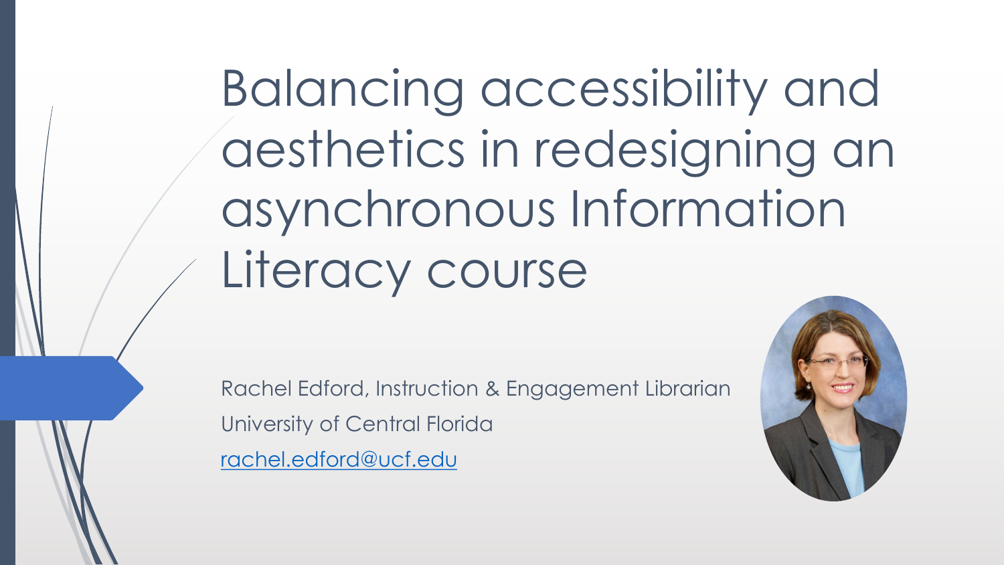Balancing accessibility and aesthetics in redesigning an asynchronous Information Literacy course

Rachel Edford, Instruction & Engagement Librarian University of Central Florida [rachel.edford@ucf.edu](mailto:rachel.edford@ucf.edu)

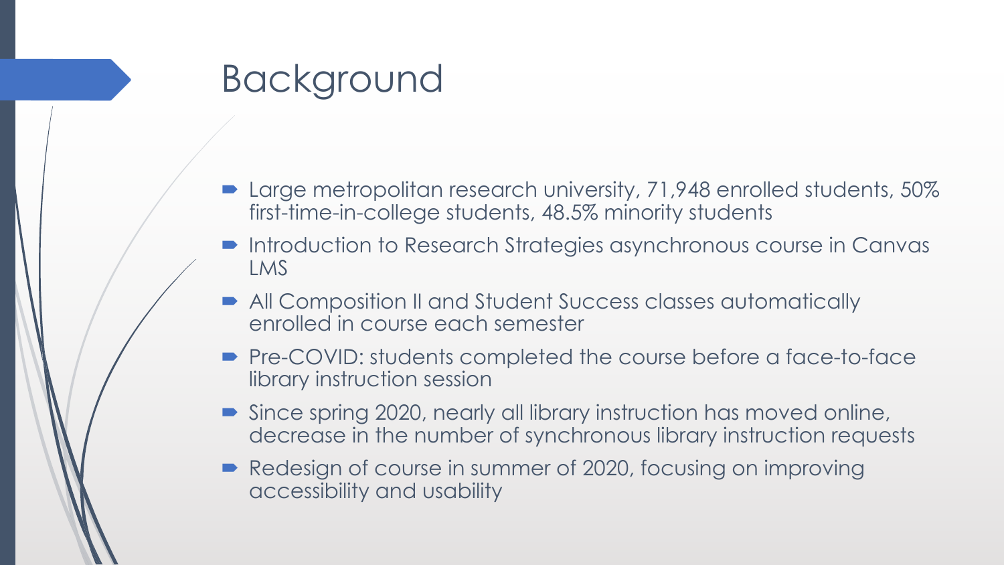#### Background

- Large metropolitan research university, 71,948 enrolled students, 50% first-time-in-college students, 48.5% minority students
- $\blacksquare$  Introduction to Research Strategies asynchronous course in Canvas LMS
- All Composition II and Student Success classes automatically enrolled in course each semester
- Pre-COVID: students completed the course before a face-to-face library instruction session
- Since spring 2020, nearly all library instruction has moved online, decrease in the number of synchronous library instruction requests
- Redesign of course in summer of 2020, focusing on improving accessibility and usability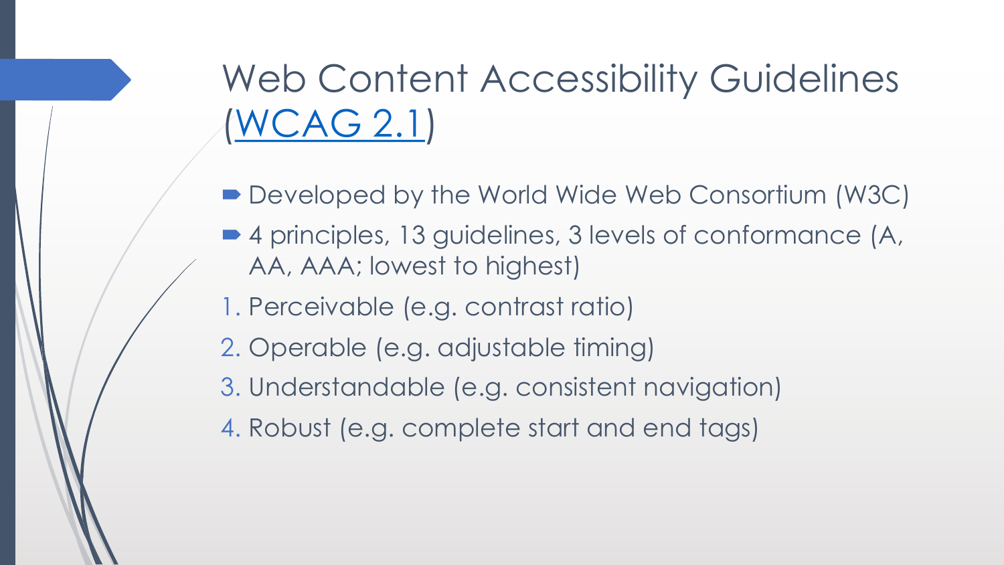Web Content Accessibility Guidelines [\(WCAG 2.1\)](https://www.w3.org/TR/WCAG21/)

- Developed by the World Wide Web Consortium (W3C)
- 4 principles, 13 guidelines, 3 levels of conformance (A, AA, AAA; lowest to highest)
- 1. Perceivable (e.g. contrast ratio)
- 2. Operable (e.g. adjustable timing)
- 3. Understandable (e.g. consistent navigation)
- 4. Robust (e.g. complete start and end tags)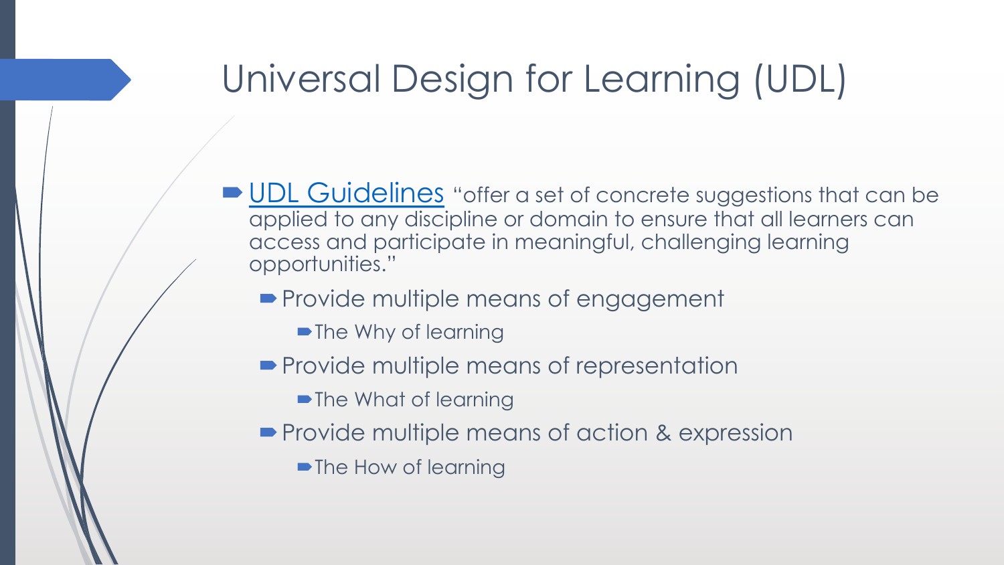### Universal Design for Learning (UDL)

- [UDL Guidelines](http://udlguidelines.cast.org/) "offer a set of concrete suggestions that can be applied to any discipline or domain to ensure that all learners can access and participate in meaningful, challenging learning opportunities."
	- Provide multiple means of engagement
		- The Why of learning
	- Provide multiple means of representation
		- The What of learning
	- Provide multiple means of action & expression
		- The How of learning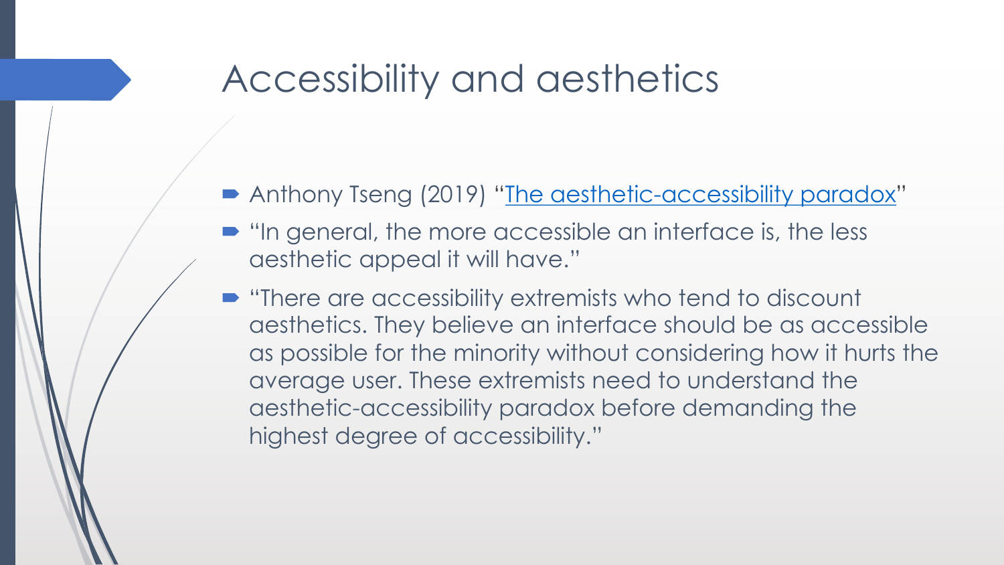#### Accessibility and aesthetics

- Anthony Tseng (2019) "[The aesthetic-accessibility paradox"](https://uxmovement.com/thinking/the-aesthetic-accessibility-paradox/)
- $\blacksquare$  "In general, the more accessible an interface is, the less aesthetic appeal it will have."
- $\blacksquare$  "There are accessibility extremists who tend to discount aesthetics. They believe an interface should be as accessible as possible for the minority without considering how it hurts the average user. These extremists need to understand the aesthetic-accessibility paradox before demanding the highest degree of accessibility."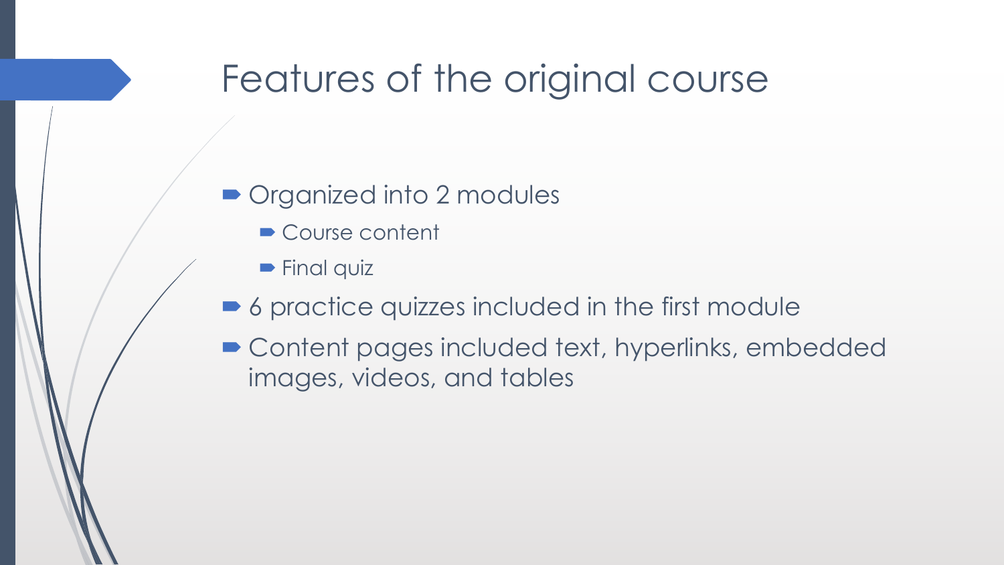#### Features of the original course

- Organized into 2 modules
	- Course content
	- **Final quiz**
- 6 practice quizzes included in the first module
- Content pages included text, hyperlinks, embedded images, videos, and tables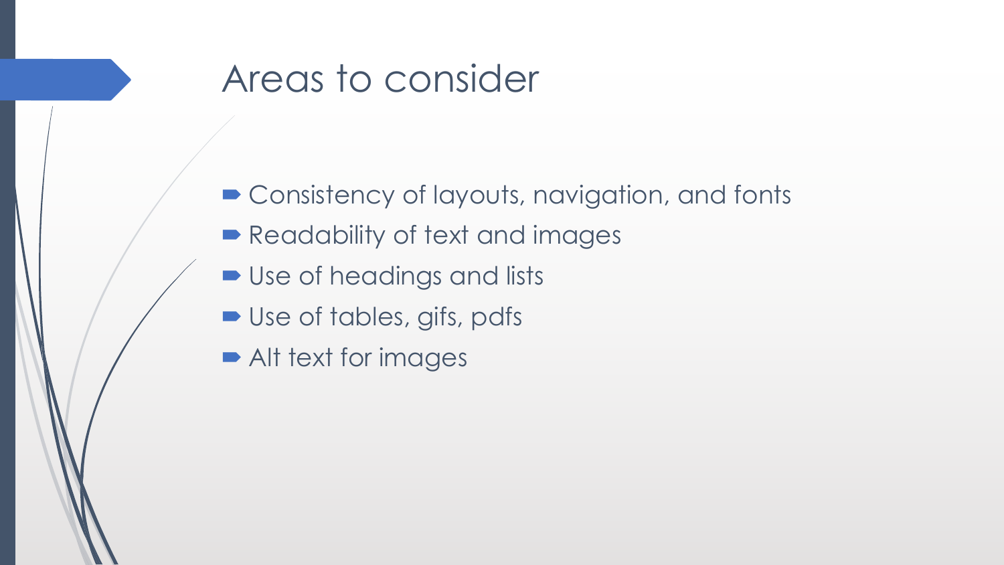#### Areas to consider

- Consistency of layouts, navigation, and fonts
- Readability of text and images
- Use of headings and lists
- Use of tables, gifs, pdfs
- Alt text for images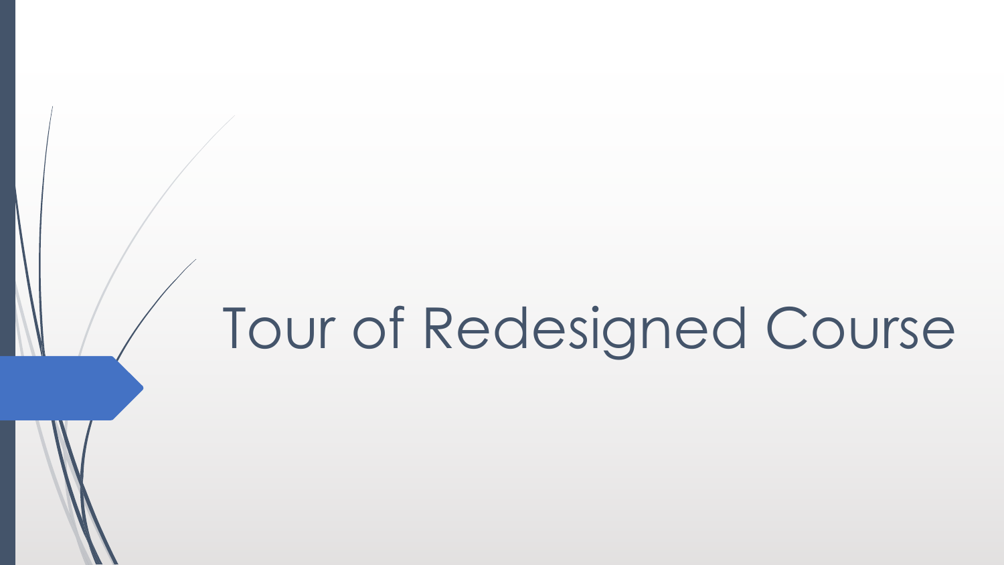# Tour of Redesigned Course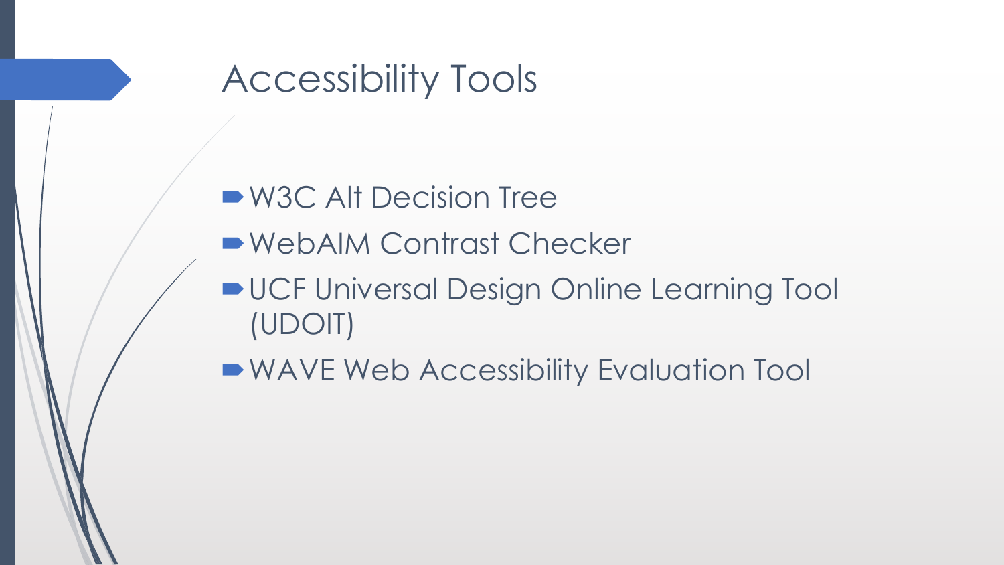### Accessibility Tools

- W3C Alt Decision Tree
- WebAIM Contrast Checker
- **UCF Universal Design Online Learning Tool** (UDOIT)
- WAVE Web Accessibility Evaluation Tool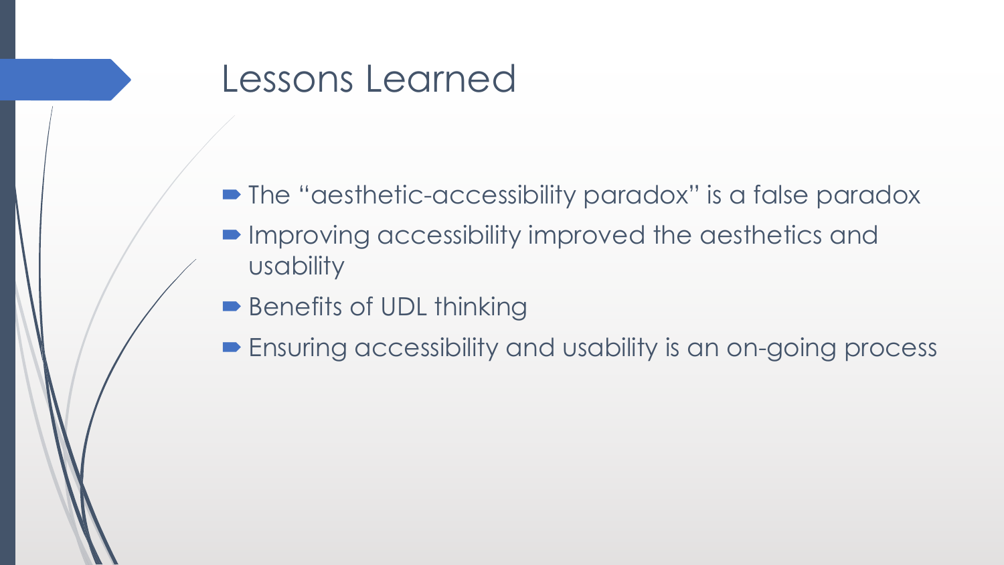#### Lessons Learned

- The "aesthetic-accessibility paradox" is a false paradox
- $\blacksquare$  Improving accessibility improved the aesthetics and usability
- Benefits of UDL thinking
- **Ensuring accessibility and usability is an on-going process**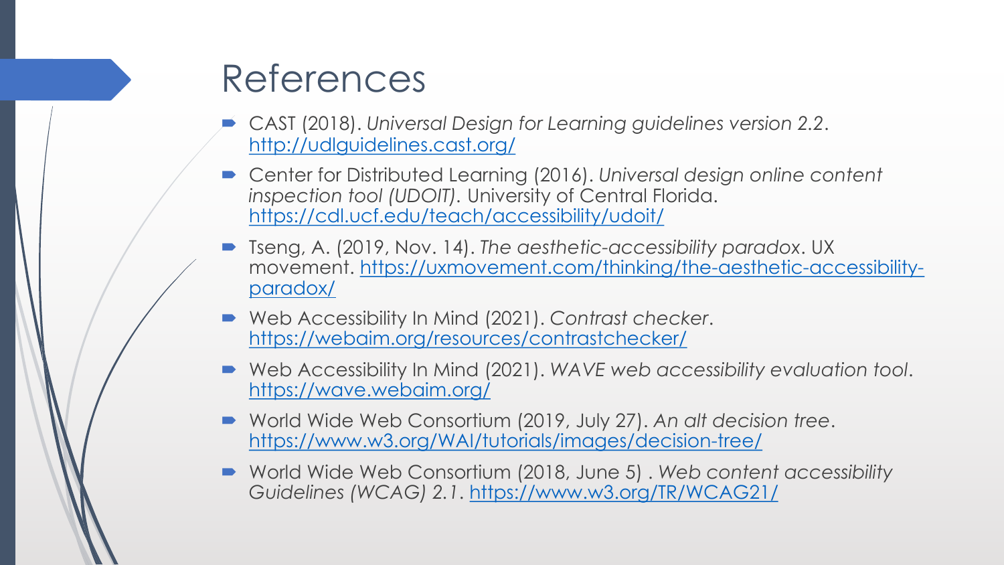#### References

- ´ CAST (2018). *Universal Design for Learning guidelines version 2.2*. <http://udlguidelines.cast.org/>
- Center for Distributed Learning (2016). *Universal design online content inspection tool (UDOIT).* University of Central Florida. <https://cdl.ucf.edu/teach/accessibility/udoit/>
- ´ Tseng, A. (2019, Nov. 14). *The aesthetic-accessibility paradox*. UX [movement. https://uxmovement.com/thinking/the-aesthetic-accessibility](https://uxmovement.com/thinking/the-aesthetic-accessibility-paradox/)paradox/
- Web Accessibility In Mind (2021). Contrast checker. <https://webaim.org/resources/contrastchecker/>
- Web Accessibility In Mind (2021). WAVE web accessibility evaluation tool. <https://wave.webaim.org/>
- ´ World Wide Web Consortium (2019, July 27). *An alt decision tree*. <https://www.w3.org/WAI/tutorials/images/decision-tree/>
- World Wide Web Consortium (2018, June 5). Web content accessibility *Guidelines (WCAG) 2.1*. <https://www.w3.org/TR/WCAG21/>